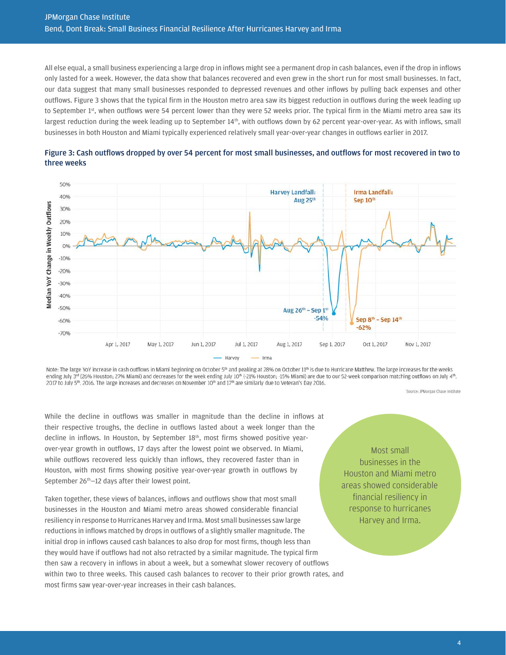All else equal, a small business experiencing a large drop in inflows might see a permanent drop in cash balances, even if the drop in inflows only lasted for a week. However, the data show that balances recovered and even grew in the short run for most small businesses. In fact, our data suggest that many small businesses responded to depressed revenues and other inflows by pulling back expenses and other outflows. Figure 3 shows that the typical firm in the Houston metro area saw its biggest reduction in outflows during the week leading up to September 1<sup>st</sup>, when outflows were 54 percent lower than they were 52 weeks prior. The typical firm in the Miami metro area saw its largest reduction during the week leading up to September 14<sup>th</sup>, with outflows down by 62 percent year-over-year. As with inflows, small businesses in both Houston and Miami typically experienced relatively small year-over-year changes in outflows earlier in 2017.

#### Figure 3: BIMSFCFSFSFSBMMCFFBMSSFFSF **ISFFFF**

While the decline in outflows was smaller in magnitude than the decline in inflows at their respective troughs, the decline in outflows lasted about a week longer than the decline in inflows. In Houston, by September 18th, most firms showed positive yearover-year growth in outflows, 17 days after the lowest point we observed. In Miami, while outflows recovered less quickly than inflows, they recovered faster than in Houston, with most firms showing positive year-over-year growth in outflows by September 26<sup>th</sup>-12 days after their lowest point.

Taken together, these views of balances, inflows and outflows show that most small businesses in the Houston and Miami metro areas showed considerable financial resiliency in response to Hurricanes Harvey and Irma. Most small businesses saw large reductions in inflows matched by drops in outflows of a slightly smaller magnitude. The initial drop in inflows caused cash balances to also drop for most firms, though less than they would have if outflows had not also retracted by a similar magnitude. The typical firm then saw a recovery in inflows in about a week, but a somewhat slower recovery of outflows within two to three weeks. This caused cash balances to recover to their prior growth rates, and most firms saw year-over-year increases in their cash balances.

Most small businesses in the Houston and Miami metro areas showed considerable financial resiliency in response to hurricanes Harvey and Irma.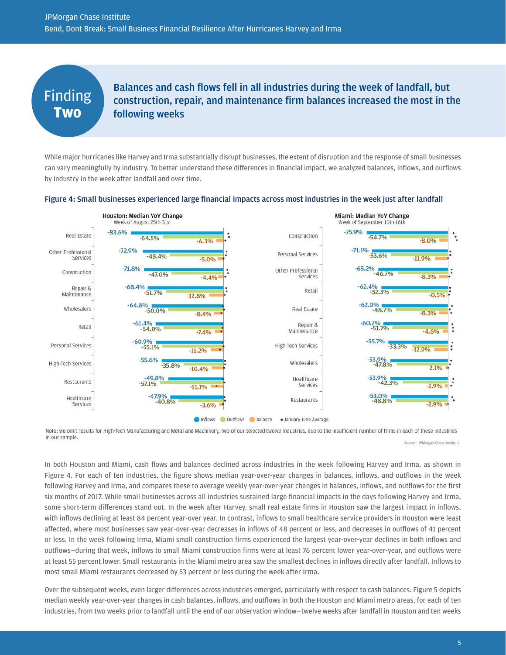### Finding **Two**

Balances and cash flows fell in all industries during the week of landfall, but construction, repair, and maintenance firm balances increased the most in the following weeks

While major hurricanes like Harvey and Irma substantially disrupt businesses, the extent of disruption and the response of small businesses can vary meaningfully by industry. To better understand these differences in financial impact, we analyzed balances, inflows, and outflows by industry in the week after landfall and over time.

#### Figure 4: Small businesses experienced large financial impacts across most industries in the week just after landfall



Note: we omit results for High-Tech Manufacturing and Metal and Machinery, two of our selected twelve industries, due to the insufficient number of firms in each of these industries in our sample. Source: JPMorgan Chase Institute

In both Houston and Miami, cash flows and balances declined across industries in the week following Harvey and Irma, as shown in Figure 4. For each of ten industries, the figure shows median year-over-year changes in balances, inflows, and outflows in the week following Harvey and Irma, and compares these to average weekly year-over-year changes in balances, inflows, and outflows for the first six months of 2017. While small businesses across all industries sustained large financial impacts in the days following Harvey and Irma, some short-term differences stand out. In the week after Harvey, small real estate firms in Houston saw the largest impact in inflows, with inflows declining at least 84 percent year-over year. In contrast, inflows to small healthcare service providers in Houston were least affected, where most businesses saw year-over-year decreases in inflows of 48 percent or less, and decreases in outflows of 41 percent or less. In the week following Irma, Miami small construction firms experienced the largest year-over-year declines in both inflows and outflows—during that week, inflows to small Miami construction firms were at least 76 percent lower year-over-year, and outflows were at least 55 percent lower. Small restaurants in the Miami metro area saw the smallest declines in inflows directly after landfall. Inflows to most small Miami restaurants decreased by 53 percent or less during the week after Irma.

Over the subsequent weeks, even larger differences across industries emerged, particularly with respect to cash balances. Figure 5 depicts median weekly year-over-year changes in cash balances, inflows, and outflows in both the Houston and Miami metro areas, for each of ten industries, from two weeks prior to landfall until the end of our observation window—twelve weeks after landfall in Houston and ten weeks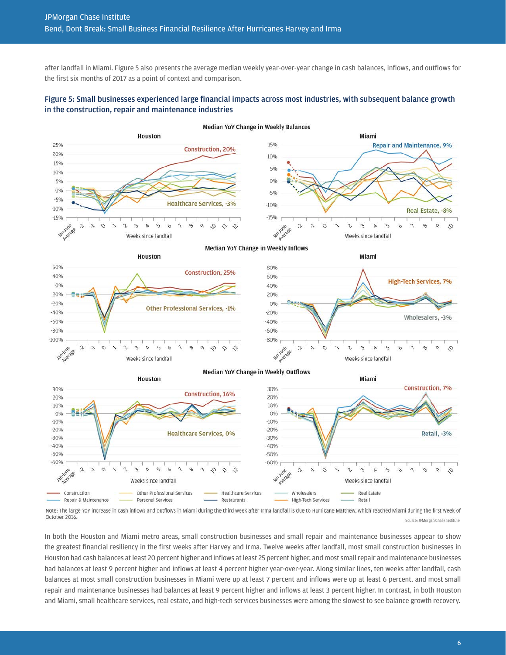after landfall in Miami. Figure 5 also presents the average median weekly year-over-year change in cash balances, inflows, and outflows for the first six months of 2017 as a point of context and comparison.

#### Figure 5: Small businesses experienced large financial impacts across most industries, with subsequent balance growth in the construction, repair and maintenance industries



Note: The large YoY increase in cash inflows and outflows in Miami during the third week after Irma landfall is due to Hurricane Matthew, which reached Miami during the first week of October 2016. Source: JPMorgan Chase Institute

In both the Houston and Miami metro areas, small construction businesses and small repair and maintenance businesses appear to show the greatest financial resiliency in the first weeks after Harvey and Irma. Twelve weeks after landfall, most small construction businesses in Houston had cash balances at least 20 percent higher and inflows at least 25 percent higher, and most small repair and maintenance businesses had balances at least 9 percent higher and inflows at least 4 percent higher year-over-year. Along similar lines, ten weeks after landfall, cash balances at most small construction businesses in Miami were up at least 7 percent and inflows were up at least 6 percent, and most small repair and maintenance businesses had balances at least 9 percent higher and inflows at least 3 percent higher. In contrast, in both Houston and Miami, small healthcare services, real estate, and high-tech services businesses were among the slowest to see balance growth recovery.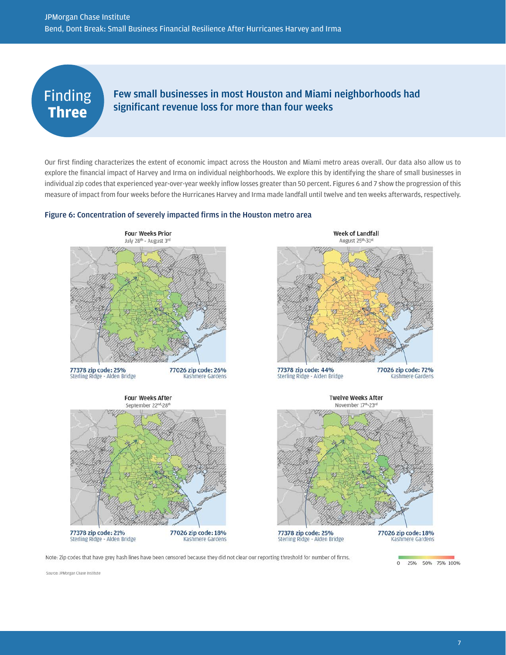## Finding **Three**

### Few small businesses in most Houston and Miami neighborhoods had significant revenue loss for more than four weeks

Our first finding characterizes the extent of economic impact across the Houston and Miami metro areas overall. Our data also allow us to explore the financial impact of Harvey and Irma on individual neighborhoods. We explore this by identifying the share of small businesses in individual zip codes that experienced year-over-year weekly inflow losses greater than 50 percent. Figures 6 and 7 show the progression of this measure of impact from four weeks before the Hurricanes Harvey and Irma made landfall until twelve and ten weeks afterwards, respectively.

#### Figure 6: Concentration of severely impacted firms in the Houston metro area



Note: Zip codes that have grey hash lines have been censored because they did not clear our reporting threshold for number of firms.

Source: JPMorgan Chase Institute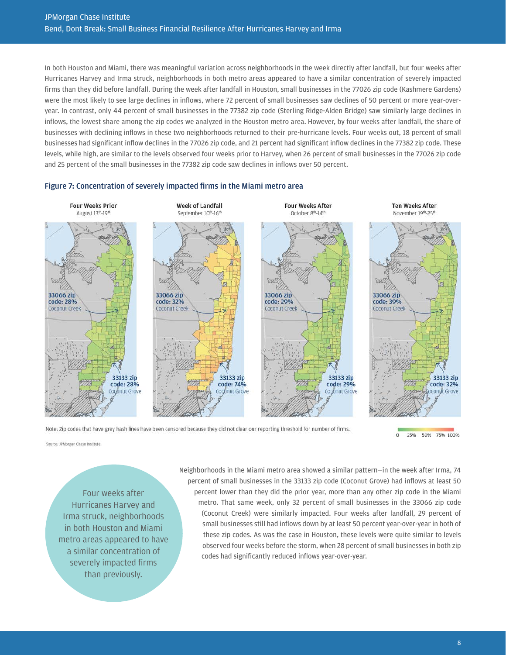In both Houston and Miami, there was meaningful variation across neighborhoods in the week directly after landfall, but four weeks after Hurricanes Harvey and Irma struck, neighborhoods in both metro areas appeared to have a similar concentration of severely impacted firms than they did before landfall. During the week after landfall in Houston, small businesses in the 77026 zip code (Kashmere Gardens) were the most likely to see large declines in inflows, where 72 percent of small businesses saw declines of 50 percent or more year-overyear. In contrast, only 44 percent of small businesses in the 77382 zip code (Sterling Ridge-Alden Bridge) saw similarly large declines in inflows, the lowest share among the zip codes we analyzed in the Houston metro area. However, by four weeks after landfall, the share of businesses with declining inflows in these two neighborhoods returned to their pre-hurricane levels. Four weeks out, 18 percent of small businesses had significant inflow declines in the 77026 zip code, and 21 percent had significant inflow declines in the 77382 zip code. These levels, while high, are similar to the levels observed four weeks prior to Harvey, when 26 percent of small businesses in the 77026 zip code and 25 percent of the small businesses in the 77382 zip code saw declines in inflows over 50 percent.

#### Figure 7: Concentration of severely impacted firms in the Miami metro area



Note: Zip codes that have grey hash lines have been censored because they did not clear our reporting threshold for number of firms.

 $\overline{0}$ 25% 50% 75% 100%

Source: JPMorgan Chase Institute

Four weeks after Hurricanes Harvey and Irma struck, neighborhoods in both Houston and Miami metro areas appeared to have a similar concentration of severely impacted firms than previously.

Neighborhoods in the Miami metro area showed a similar pattern—in the week after Irma, 74 percent of small businesses in the 33133 zip code (Coconut Grove) had inflows at least 50 percent lower than they did the prior year, more than any other zip code in the Miami metro. That same week, only 32 percent of small businesses in the 33066 zip code (Coconut Creek) were similarly impacted. Four weeks after landfall, 29 percent of small businesses still had inflows down by at least 50 percent year-over-year in both of these zip codes. As was the case in Houston, these levels were quite similar to levels observed four weeks before the storm, when 28 percent of small businesses in both zip codes had significantly reduced inflows year-over-year.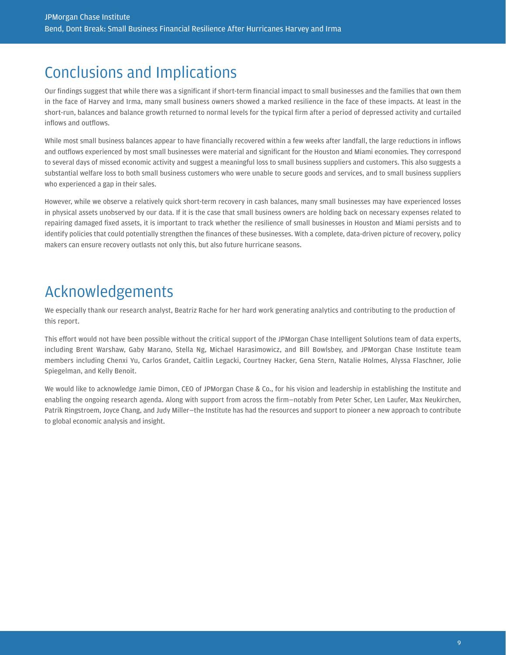# Conclusions and Implications

Our findings suggest that while there was a significant if short-term financial impact to small businesses and the families that own them in the face of Harvey and Irma, many small business owners showed a marked resilience in the face of these impacts. At least in the short-run, balances and balance growth returned to normal levels for the typical firm after a period of depressed activity and curtailed inflows and outflows.

While most small business balances appear to have financially recovered within a few weeks after landfall, the large reductions in inflows and outflows experienced by most small businesses were material and significant for the Houston and Miami economies. They correspond to several days of missed economic activity and suggest a meaningful loss to small business suppliers and customers. This also suggests a substantial welfare loss to both small business customers who were unable to secure goods and services, and to small business suppliers who experienced a gap in their sales.

However, while we observe a relatively quick short-term recovery in cash balances, many small businesses may have experienced losses in physical assets unobserved by our data. If it is the case that small business owners are holding back on necessary expenses related to repairing damaged fixed assets, it is important to track whether the resilience of small businesses in Houston and Miami persists and to identify policies that could potentially strengthen the finances of these businesses. With a complete, data-driven picture of recovery, policy makers can ensure recovery outlasts not only this, but also future hurricane seasons.

# Acknowledgements

We especially thank our research analyst, Beatriz Rache for her hard work generating analytics and contributing to the production of this report.

This effort would not have been possible without the critical support of the JPMorgan Chase Intelligent Solutions team of data experts, including Brent Warshaw, Gaby Marano, Stella Ng, Michael Harasimowicz, and Bill Bowlsbey, and JPMorgan Chase Institute team members including Chenxi Yu, Carlos Grandet, Caitlin Legacki, Courtney Hacker, Gena Stern, Natalie Holmes, Alyssa Flaschner, Jolie Spiegelman, and Kelly Benoit.

We would like to acknowledge Jamie Dimon, CEO of JPMorgan Chase & Co., for his vision and leadership in establishing the Institute and enabling the ongoing research agenda. Along with support from across the firm—notably from Peter Scher, Len Laufer, Max Neukirchen, Patrik Ringstroem, Joyce Chang, and Judy Miller—the Institute has had the resources and support to pioneer a new approach to contribute to global economic analysis and insight.